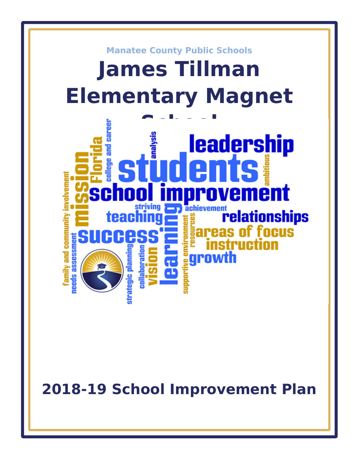

**2018-19 School Improvement Plan**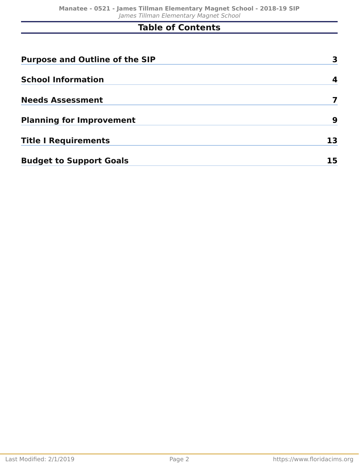# **Table of Contents**

| <b>Purpose and Outline of the SIP</b> |    |
|---------------------------------------|----|
| <b>School Information</b>             | 4  |
| <b>Needs Assessment</b>               |    |
| <b>Planning for Improvement</b>       | 9  |
| <b>Title I Requirements</b>           | 13 |
| <b>Budget to Support Goals</b>        | 15 |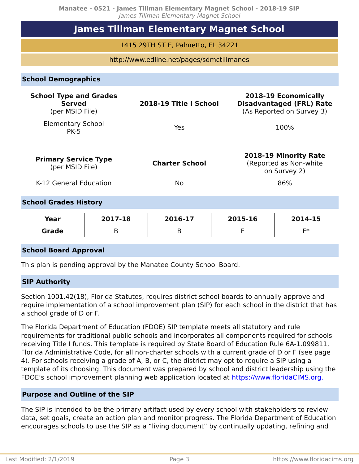**Manatee - 0521 - James Tillman Elementary Magnet School - 2018-19 SIP** James Tillman Elementary Magnet School

# **James Tillman Elementary Magnet School**

## 1415 29TH ST E, Palmetto, FL 34221

## http://www.edline.net/pages/sdmctillmanes

## **School Demographics**

| <b>School Type and Grades</b><br><b>Served</b><br>(per MSID File) |              | 2018-19 Title I School |              | 2018-19 Economically<br><b>Disadvantaged (FRL) Rate</b><br>(As Reported on Survey 3) |
|-------------------------------------------------------------------|--------------|------------------------|--------------|--------------------------------------------------------------------------------------|
| <b>Elementary School</b><br><b>PK-5</b>                           |              | Yes                    |              | 100%                                                                                 |
| <b>Primary Service Type</b><br>(per MSID File)                    |              | <b>Charter School</b>  |              | 2018-19 Minority Rate<br>(Reported as Non-white<br>on Survey 2)                      |
| K-12 General Education                                            |              | <b>No</b>              |              | 86%                                                                                  |
| <b>School Grades History</b>                                      |              |                        |              |                                                                                      |
| Year<br><b>Grade</b>                                              | 2017-18<br>B | 2016-17<br>B           | 2015-16<br>F | 2014-15<br>F*                                                                        |
| <b>School Board Approval</b>                                      |              |                        |              |                                                                                      |

This plan is pending approval by the Manatee County School Board.

## **SIP Authority**

Section 1001.42(18), Florida Statutes, requires district school boards to annually approve and require implementation of a school improvement plan (SIP) for each school in the district that has a school grade of D or F.

The Florida Department of Education (FDOE) SIP template meets all statutory and rule requirements for traditional public schools and incorporates all components required for schools receiving Title I funds. This template is required by State Board of Education Rule 6A-1.099811, Florida Administrative Code, for all non-charter schools with a current grade of D or F (see page 4). For schools receiving a grade of A, B, or C, the district may opt to require a SIP using a template of its choosing. This document was prepared by school and district leadership using the FDOE's school improvement planning web application located at [https://www.floridaCIMS.org.](https://www.floridacims.org)

## <span id="page-2-0"></span>**Purpose and Outline of the SIP**

The SIP is intended to be the primary artifact used by every school with stakeholders to review data, set goals, create an action plan and monitor progress. The Florida Department of Education encourages schools to use the SIP as a "living document" by continually updating, refining and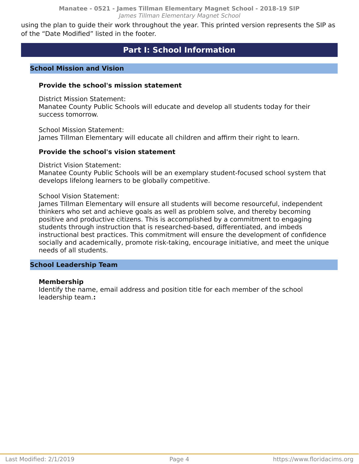**Manatee - 0521 - James Tillman Elementary Magnet School - 2018-19 SIP** James Tillman Elementary Magnet School

<span id="page-3-0"></span>using the plan to guide their work throughout the year. This printed version represents the SIP as of the "Date Modified" listed in the footer.

# **Part I: School Information**

## **School Mission and Vision**

## **Provide the school's mission statement**

District Mission Statement:

Manatee County Public Schools will educate and develop all students today for their success tomorrow.

School Mission Statement: James Tillman Elementary will educate all children and affirm their right to learn.

## **Provide the school's vision statement**

District Vision Statement:

Manatee County Public Schools will be an exemplary student-focused school system that develops lifelong learners to be globally competitive.

#### School Vision Statement:

James Tillman Elementary will ensure all students will become resourceful, independent thinkers who set and achieve goals as well as problem solve, and thereby becoming positive and productive citizens. This is accomplished by a commitment to engaging students through instruction that is researched-based, differentiated, and imbeds instructional best practices. This commitment will ensure the development of confidence socially and academically, promote risk-taking, encourage initiative, and meet the unique needs of all students.

## **School Leadership Team**

## **Membership**

Identify the name, email address and position title for each member of the school leadership team.**:**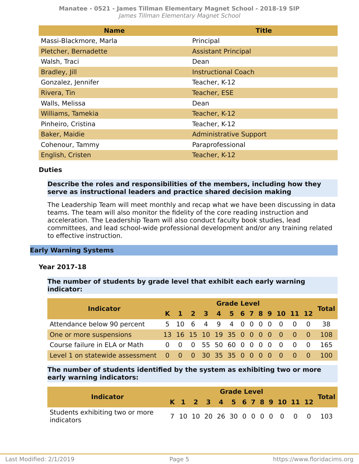**Manatee - 0521 - James Tillman Elementary Magnet School - 2018-19 SIP** James Tillman Elementary Magnet School

| <b>Name</b>            | <b>Title</b>                  |
|------------------------|-------------------------------|
| Massi-Blackmore, Marla | Principal                     |
| Pletcher, Bernadette   | <b>Assistant Principal</b>    |
| Walsh, Traci           | Dean                          |
| Bradley, Jill          | <b>Instructional Coach</b>    |
| Gonzalez, Jennifer     | Teacher, K-12                 |
| Rivera, Tin            | Teacher, ESE                  |
| Walls, Melissa         | Dean                          |
| Williams, Tamekia      | Teacher, K-12                 |
| Pinheiro, Cristina     | Teacher, K-12                 |
| Baker, Maidie          | <b>Administrative Support</b> |
| Cohenour, Tammy        | Paraprofessional              |
| English, Cristen       | Teacher, K-12                 |

#### **Duties**

## **Describe the roles and responsibilities of the members, including how they serve as instructional leaders and practice shared decision making**

The Leadership Team will meet monthly and recap what we have been discussing in data teams. The team will also monitor the fidelity of the core reading instruction and acceleration. The Leadership Team will also conduct faculty book studies, lead committees, and lead school-wide professional development and/or any training related to effective instruction.

## **Early Warning Systems**

## **Year 2017-18**

#### **The number of students by grade level that exhibit each early warning indicator:**

| <b>Indicator</b>                                               |  | <b>Grade Level</b> |  |  |  |  |  |  |  |  |  |                                 |  |              |
|----------------------------------------------------------------|--|--------------------|--|--|--|--|--|--|--|--|--|---------------------------------|--|--------------|
|                                                                |  |                    |  |  |  |  |  |  |  |  |  | K 1 2 3 4 5 6 7 8 9 10 11 12    |  | <b>Total</b> |
| Attendance below 90 percent                                    |  |                    |  |  |  |  |  |  |  |  |  | 5 10 6 4 9 4 0 0 0 0 0 0 0      |  | -38          |
| One or more suspensions                                        |  |                    |  |  |  |  |  |  |  |  |  | 13 16 15 10 19 35 0 0 0 0 0 0 0 |  | -108         |
| Course failure in ELA or Math                                  |  |                    |  |  |  |  |  |  |  |  |  | 0 0 0 55 50 60 0 0 0 0 0 0 0    |  | 165          |
| Level 1 on statewide assessment 0 0 0 30 35 35 0 0 0 0 0 0 0 0 |  |                    |  |  |  |  |  |  |  |  |  |                                 |  | <b>100</b>   |

**The number of students identified by the system as exhibiting two or more early warning indicators:**

| <b>Indicator</b>                              | <b>Grade Level</b> |  |  |  |  |  |  |  |  |  |  |                              |  |                                    |
|-----------------------------------------------|--------------------|--|--|--|--|--|--|--|--|--|--|------------------------------|--|------------------------------------|
|                                               |                    |  |  |  |  |  |  |  |  |  |  | K 1 2 3 4 5 6 7 8 9 10 11 12 |  | <b>Total</b>                       |
| Students exhibiting two or more<br>indicators |                    |  |  |  |  |  |  |  |  |  |  |                              |  | 7 10 10 20 26 30 0 0 0 0 0 0 0 103 |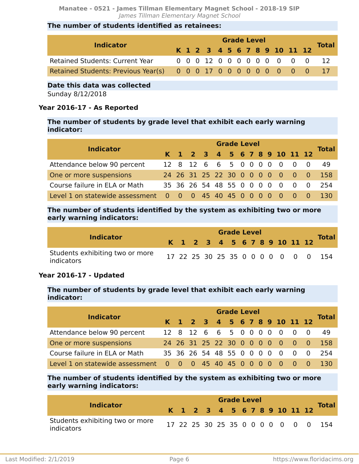## **The number of students identified as retainees:**

|                                                                   |  | <b>Grade Level</b> |  |  |  |  |  |  |  |  |  |                              |  |                               |
|-------------------------------------------------------------------|--|--------------------|--|--|--|--|--|--|--|--|--|------------------------------|--|-------------------------------|
| <b>Indicator</b>                                                  |  |                    |  |  |  |  |  |  |  |  |  | K 1 2 3 4 5 6 7 8 9 10 11 12 |  | <b>Total</b>                  |
| Retained Students: Current Year                                   |  |                    |  |  |  |  |  |  |  |  |  |                              |  | 0 0 0 12 0 0 0 0 0 0 0 0 0 12 |
| Retained Students: Previous Year(s) 0 0 0 17 0 0 0 0 0 0 0 0 0 17 |  |                    |  |  |  |  |  |  |  |  |  |                              |  |                               |

**Date this data was collected** Sunday 8/12/2018

## **Year 2016-17 - As Reported**

## **The number of students by grade level that exhibit each early warning indicator:**

| <b>Indicator</b>                                               |  | <b>Grade Level</b> |  |  |  |  |  |  |  |  |                                 |  |  |              |
|----------------------------------------------------------------|--|--------------------|--|--|--|--|--|--|--|--|---------------------------------|--|--|--------------|
|                                                                |  |                    |  |  |  |  |  |  |  |  | K 1 2 3 4 5 6 7 8 9 10 11 12    |  |  | <b>Total</b> |
| Attendance below 90 percent                                    |  |                    |  |  |  |  |  |  |  |  | 12 8 12 6 6 5 0 0 0 0 0 0 0     |  |  | 49           |
| One or more suspensions                                        |  |                    |  |  |  |  |  |  |  |  | 24 26 31 25 22 30 0 0 0 0 0 0 0 |  |  | 158          |
| Course failure in ELA or Math                                  |  |                    |  |  |  |  |  |  |  |  | 35 36 26 54 48 55 0 0 0 0 0 0 0 |  |  | -254         |
| Level 1 on statewide assessment 0 0 0 45 40 45 0 0 0 0 0 0 0 0 |  |                    |  |  |  |  |  |  |  |  |                                 |  |  | -130         |

**The number of students identified by the system as exhibiting two or more early warning indicators:**

| <b>Indicator</b>                              |  | <b>Grade Level</b> |  |  |  |  |  |  |  |  |                              |  |  |                                     |
|-----------------------------------------------|--|--------------------|--|--|--|--|--|--|--|--|------------------------------|--|--|-------------------------------------|
|                                               |  |                    |  |  |  |  |  |  |  |  | K 1 2 3 4 5 6 7 8 9 10 11 12 |  |  | <b>Total</b>                        |
| Students exhibiting two or more<br>indicators |  |                    |  |  |  |  |  |  |  |  |                              |  |  | 17 22 25 30 25 35 0 0 0 0 0 0 0 154 |

## **Year 2016-17 - Updated**

## **The number of students by grade level that exhibit each early warning indicator:**

| <b>Indicator</b>                                               |  | <b>Grade Level</b> |  |  |  |  |  |  |  |  |                                   |  |  |              |
|----------------------------------------------------------------|--|--------------------|--|--|--|--|--|--|--|--|-----------------------------------|--|--|--------------|
|                                                                |  |                    |  |  |  |  |  |  |  |  | K 1 2 3 4 5 6 7 8 9 10 11 12      |  |  | <b>Total</b> |
| Attendance below 90 percent                                    |  |                    |  |  |  |  |  |  |  |  | 12 8 12 6 6 5 0 0 0 0 0 0 0       |  |  | 49           |
| One or more suspensions                                        |  |                    |  |  |  |  |  |  |  |  | 24 26 31 25 22 30 0 0 0 0 0 0 0 0 |  |  | -158         |
| Course failure in ELA or Math                                  |  |                    |  |  |  |  |  |  |  |  | 35 36 26 54 48 55 0 0 0 0 0 0 0   |  |  | 254          |
| Level 1 on statewide assessment 0 0 0 45 40 45 0 0 0 0 0 0 0 0 |  |                    |  |  |  |  |  |  |  |  |                                   |  |  | <b>130</b>   |

## **The number of students identified by the system as exhibiting two or more early warning indicators:**

| <b>Indicator</b>                              | <b>Grade Level</b> |  |  |  |  |  |  |  |  |  |  |                              |  |                                     |
|-----------------------------------------------|--------------------|--|--|--|--|--|--|--|--|--|--|------------------------------|--|-------------------------------------|
|                                               |                    |  |  |  |  |  |  |  |  |  |  | K 1 2 3 4 5 6 7 8 9 10 11 12 |  | <b>Total</b>                        |
| Students exhibiting two or more<br>indicators |                    |  |  |  |  |  |  |  |  |  |  |                              |  | 17 22 25 30 25 35 0 0 0 0 0 0 0 154 |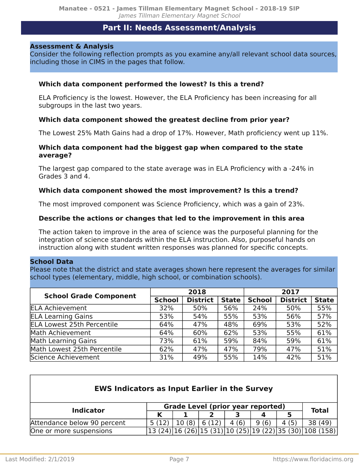## **Part II: Needs Assessment/Analysis**

## <span id="page-6-0"></span>**Assessment & Analysis**

Consider the following reflection prompts as you examine any/all relevant school data sources, including those in CIMS in the pages that follow.

## **Which data component performed the lowest? Is this a trend?**

ELA Proficiency is the lowest. However, the ELA Proficiency has been increasing for all subgroups in the last two years.

## **Which data component showed the greatest decline from prior year?**

The Lowest 25% Math Gains had a drop of 17%. However, Math proficiency went up 11%.

## **Which data component had the biggest gap when compared to the state average?**

The largest gap compared to the state average was in ELA Proficiency with a -24% in Grades 3 and 4.

## **Which data component showed the most improvement? Is this a trend?**

The most improved component was Science Proficiency, which was a gain of 23%.

## **Describe the actions or changes that led to the improvement in this area**

The action taken to improve in the area of science was the purposeful planning for the integration of science standards within the ELA instruction. Also, purposeful hands on instruction along with student written responses was planned for specific concepts.

#### **School Data**

Please note that the district and state averages shown here represent the averages for similar school types (elementary, middle, high school, or combination schools).

| <b>School Grade Component</b>     |               | 2018            |              | 2017          |                 |              |  |  |  |
|-----------------------------------|---------------|-----------------|--------------|---------------|-----------------|--------------|--|--|--|
|                                   | <b>School</b> | <b>District</b> | <b>State</b> | <b>School</b> | <b>District</b> | <b>State</b> |  |  |  |
| <b>ELA Achievement</b>            | 32%           | 50%             | 56%          | 24%           | 50%             | 55%          |  |  |  |
| <b>ELA Learning Gains</b>         | 53%           | 54%             | 55%          | 53%           | 56%             | 57%          |  |  |  |
| <b>ELA Lowest 25th Percentile</b> | 64%           | 47%             | 48%          | 69%           | 53%             | 52%          |  |  |  |
| Math Achievement                  | 64%           | 60%             | 62%          | 53%           | 55%             | 61%          |  |  |  |
| Math Learning Gains               | 73%           | 61%             | 59%          | 84%           | 59%             | 61%          |  |  |  |
| Math Lowest 25th Percentile       | 62%           | 47%             | 47%          | 79%           | 47%             | 51%          |  |  |  |
| Science Achievement               | 31%           | 49%             | 55%          | 14%           | 42%             | 51%          |  |  |  |

| <b>EWS Indicators as Input Earlier in the Survey</b>         |       |       |       |       |      |       |                                                           |  |  |  |  |  |
|--------------------------------------------------------------|-------|-------|-------|-------|------|-------|-----------------------------------------------------------|--|--|--|--|--|
| <b>Grade Level (prior year reported)</b><br><b>Indicator</b> |       |       |       |       |      |       |                                                           |  |  |  |  |  |
|                                                              |       |       |       |       |      |       | <b>Total</b>                                              |  |  |  |  |  |
| Attendance below 90 percent                                  | 5(12) | 10(8) | 6(12) | 4 (6) | 9(6) | 4 (5) | 38 (49)                                                   |  |  |  |  |  |
| One or more suspensions                                      |       |       |       |       |      |       | 13 (24) 16 (26) 15 (31) 10 (25) 19 (22) 35 (30) 108 (158) |  |  |  |  |  |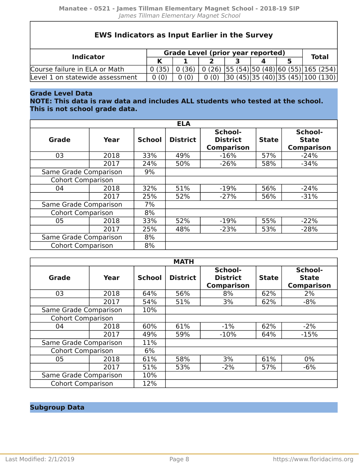## **EWS Indicators as Input Earlier in the Survey**

| <b>Indicator</b>                | <b>Grade Level (prior year reported)</b> | <b>Total</b> |      |  |  |                                                                                                  |  |
|---------------------------------|------------------------------------------|--------------|------|--|--|--------------------------------------------------------------------------------------------------|--|
|                                 |                                          |              |      |  |  |                                                                                                  |  |
| Course failure in ELA or Math   | 0(35)                                    |              |      |  |  | $\mid$ 0 (36) $\mid$ 0 (26) $\mid$ 55 (54) $\mid$ 50 (48) $\mid$ 60 (55) $\mid$ 165 (254) $\mid$ |  |
| Level 1 on statewide assessment | 0(0)                                     | 0(0)         | 0(0) |  |  | 30(45) 35(40) 35(45) 100(130)                                                                    |  |

#### **Grade Level Data**

**NOTE: This data is raw data and includes ALL students who tested at the school. This is not school grade data.**

|                          |      |               | <b>ELA</b>      |                                                 |              |                                              |
|--------------------------|------|---------------|-----------------|-------------------------------------------------|--------------|----------------------------------------------|
| Grade                    | Year | <b>School</b> | <b>District</b> | School-<br><b>District</b><br><b>Comparison</b> | <b>State</b> | School-<br><b>State</b><br><b>Comparison</b> |
| 03                       | 2018 | 33%           | 49%             | $-16%$                                          | 57%          | $-24%$                                       |
|                          | 2017 | 24%           | 50%             | $-26%$                                          | 58%          | $-34%$                                       |
| Same Grade Comparison    |      | 9%            |                 |                                                 |              |                                              |
| <b>Cohort Comparison</b> |      |               |                 |                                                 |              |                                              |
| 04                       | 2018 | 32%           | 51%             | $-19%$                                          | 56%          | $-24%$                                       |
|                          | 2017 | 25%           | 52%             | $-27%$                                          | 56%          | $-31%$                                       |
| Same Grade Comparison    |      | 7%            |                 |                                                 |              |                                              |
| <b>Cohort Comparison</b> |      | 8%            |                 |                                                 |              |                                              |
| 05                       | 2018 | 33%           | 52%             | $-19%$                                          | 55%          | $-22%$                                       |
|                          | 2017 | 25%           | 48%             | $-23%$                                          | 53%          | $-28%$                                       |
| Same Grade Comparison    |      | 8%            |                 |                                                 |              |                                              |
| <b>Cohort Comparison</b> |      | 8%            |                 |                                                 |              |                                              |

|                          |      |               | <b>MATH</b>     |                                                 |              |                                              |
|--------------------------|------|---------------|-----------------|-------------------------------------------------|--------------|----------------------------------------------|
| Grade                    | Year | <b>School</b> | <b>District</b> | School-<br><b>District</b><br><b>Comparison</b> | <b>State</b> | School-<br><b>State</b><br><b>Comparison</b> |
| 03                       | 2018 | 64%           | 56%             | 8%                                              | 62%          | 2%                                           |
|                          | 2017 | 54%           | 51%             | 3%                                              | 62%          | $-8%$                                        |
| Same Grade Comparison    |      | 10%           |                 |                                                 |              |                                              |
| <b>Cohort Comparison</b> |      |               |                 |                                                 |              |                                              |
| 04                       | 2018 | 60%           | 61%             | $-1\%$                                          | 62%          | $-2%$                                        |
|                          | 2017 | 49%           | 59%             | $-10%$                                          | 64%          | $-15%$                                       |
| Same Grade Comparison    |      | 11%           |                 |                                                 |              |                                              |
| <b>Cohort Comparison</b> |      | 6%            |                 |                                                 |              |                                              |
| 05                       | 2018 | 61%           | 58%             | 3%                                              | 61%          | $0\%$                                        |
|                          | 2017 | 51%           | 53%             | $-2%$                                           | 57%          | $-6%$                                        |
| Same Grade Comparison    |      | 10%           |                 |                                                 |              |                                              |
| <b>Cohort Comparison</b> |      | 12%           |                 |                                                 |              |                                              |

## **Subgroup Data**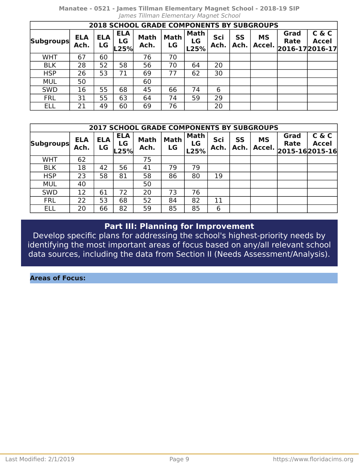|                                                  |                    |                  |                          | <u>Idilles Tillitidii Elehentdiy Maynet School</u> |                   |                           |             |                   |                     |                     |                                              |
|--------------------------------------------------|--------------------|------------------|--------------------------|----------------------------------------------------|-------------------|---------------------------|-------------|-------------------|---------------------|---------------------|----------------------------------------------|
| <b>2018 SCHOOL GRADE COMPONENTS BY SUBGROUPS</b> |                    |                  |                          |                                                    |                   |                           |             |                   |                     |                     |                                              |
| <b>Subgroups</b>                                 | <b>ELA</b><br>Ach. | <b>ELA</b><br>LG | <b>ELA</b><br>LG<br>L25% | <b>Math</b><br>Ach.                                | <b>Math</b><br>LG | <b>Math</b><br>LG<br>L25% | Sci<br>Ach. | <b>SS</b><br>Ach. | <b>MS</b><br>Accel. | Grad<br><b>Rate</b> | C & C<br><b>Accel</b><br>$ 2016-17 2016-17 $ |
| <b>WHT</b>                                       | 67                 | 60               |                          | 76                                                 | 70                |                           |             |                   |                     |                     |                                              |
| <b>BLK</b>                                       | 28                 | 52               | 58                       | 56                                                 | 70                | 64                        | 20          |                   |                     |                     |                                              |
| <b>HSP</b>                                       | 26                 | 53               | 71                       | 69                                                 | 77                | 62                        | 30          |                   |                     |                     |                                              |
| <b>MUL</b>                                       | 50                 |                  |                          | 60                                                 |                   |                           |             |                   |                     |                     |                                              |
| <b>SWD</b>                                       | 16                 | 55               | 68                       | 45                                                 | 66                | 74                        | 6           |                   |                     |                     |                                              |
| <b>FRL</b>                                       | 31                 | 55               | 63                       | 64                                                 | 74                | 59                        | 29          |                   |                     |                     |                                              |
| <b>ELL</b>                                       | 21                 | 49               | 60                       | 69                                                 | 76                |                           | 20          |                   |                     |                     |                                              |

**Manatee - 0521 - James Tillman Elementary Magnet School - 2018-19 SIP** James Tillman Elementary Magn

|                  |                    |                  |                          | <b>2017 SCHOOL GRADE COMPONENTS BY SUBGROUPS</b> |                   |                           |             |                   |                     |                                       |                       |
|------------------|--------------------|------------------|--------------------------|--------------------------------------------------|-------------------|---------------------------|-------------|-------------------|---------------------|---------------------------------------|-----------------------|
| <b>Subgroups</b> | <b>ELA</b><br>Ach. | <b>ELA</b><br>LG | <b>ELA</b><br>LG<br>L25% | <b>Math</b><br>Ach.                              | <b>Math</b><br>LG | <b>Math</b><br>LG<br>L25% | Sci<br>Ach. | <b>SS</b><br>Ach. | <b>MS</b><br>Accel. | Grad<br><b>Rate</b><br>2015-162015-16 | C & C<br><b>Accel</b> |
| <b>WHT</b>       | 62                 |                  |                          | 75                                               |                   |                           |             |                   |                     |                                       |                       |
| <b>BLK</b>       | 18                 | 42               | 56                       | 41                                               | 79                | 79                        |             |                   |                     |                                       |                       |
| <b>HSP</b>       | 23                 | 58               | 81                       | 58                                               | 86                | 80                        | 19          |                   |                     |                                       |                       |
| <b>MUL</b>       | 40                 |                  |                          | 50                                               |                   |                           |             |                   |                     |                                       |                       |
| <b>SWD</b>       | 12                 | 61               | 72                       | 20                                               | 73                | 76                        |             |                   |                     |                                       |                       |
| <b>FRL</b>       | 22                 | 53               | 68                       | 52                                               | 84                | 82                        | 11          |                   |                     |                                       |                       |
| ELL              | 20                 | 66               | 82                       | 59                                               | 85                | 85                        | 6           |                   |                     |                                       |                       |

# **Part III: Planning for Improvement**

<span id="page-8-0"></span>Develop specific plans for addressing the school's highest-priority needs by identifying the most important areas of focus based on any/all relevant school data sources, including the data from Section II (Needs Assessment/Analysis).

## **Areas of Focus:**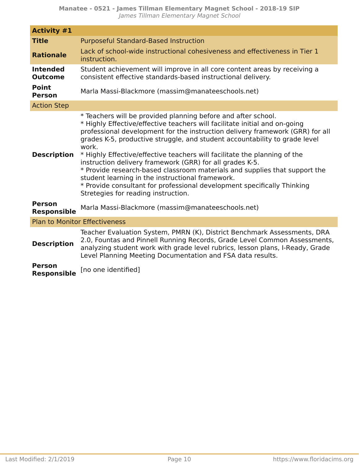| <b>Purposeful Standard-Based Instruction</b>                                                                                                                                                                                                                                                                                                                                                                                                                                                                                                                                                                                                                                                                     |
|------------------------------------------------------------------------------------------------------------------------------------------------------------------------------------------------------------------------------------------------------------------------------------------------------------------------------------------------------------------------------------------------------------------------------------------------------------------------------------------------------------------------------------------------------------------------------------------------------------------------------------------------------------------------------------------------------------------|
| Lack of school-wide instructional cohesiveness and effectiveness in Tier 1<br>instruction.                                                                                                                                                                                                                                                                                                                                                                                                                                                                                                                                                                                                                       |
| Student achievement will improve in all core content areas by receiving a<br>consistent effective standards-based instructional delivery.                                                                                                                                                                                                                                                                                                                                                                                                                                                                                                                                                                        |
| Marla Massi-Blackmore (massim@manateeschools.net)                                                                                                                                                                                                                                                                                                                                                                                                                                                                                                                                                                                                                                                                |
|                                                                                                                                                                                                                                                                                                                                                                                                                                                                                                                                                                                                                                                                                                                  |
| * Teachers will be provided planning before and after school.<br>* Highly Effective/effective teachers will facilitate initial and on-going<br>professional development for the instruction delivery framework (GRR) for all<br>grades K-5, productive struggle, and student accountability to grade level<br>work.<br>* Highly Effective/effective teachers will facilitate the planning of the<br>instruction delivery framework (GRR) for all grades K-5.<br>* Provide research-based classroom materials and supplies that support the<br>student learning in the instructional framework.<br>* Provide consultant for professional development specifically Thinking<br>Stretegies for reading instruction. |
| Marla Massi-Blackmore (massim@manateeschools.net)                                                                                                                                                                                                                                                                                                                                                                                                                                                                                                                                                                                                                                                                |
| <b>Plan to Monitor Effectiveness</b>                                                                                                                                                                                                                                                                                                                                                                                                                                                                                                                                                                                                                                                                             |
| Teacher Evaluation System, PMRN (K), District Benchmark Assessments, DRA<br>2.0, Fountas and Pinnell Running Records, Grade Level Common Assessments,<br>analyzing student work with grade level rubrics, lesson plans, I-Ready, Grade<br>Level Planning Meeting Documentation and FSA data results.                                                                                                                                                                                                                                                                                                                                                                                                             |
| [no one identified]                                                                                                                                                                                                                                                                                                                                                                                                                                                                                                                                                                                                                                                                                              |
|                                                                                                                                                                                                                                                                                                                                                                                                                                                                                                                                                                                                                                                                                                                  |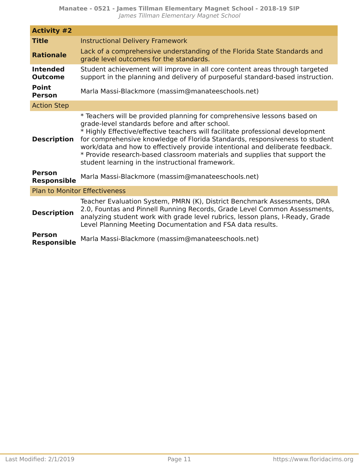| <b>Activity #2</b>                  |                                                                                                                                                                                                                                                                                                                                                                                                                                                                                                               |
|-------------------------------------|---------------------------------------------------------------------------------------------------------------------------------------------------------------------------------------------------------------------------------------------------------------------------------------------------------------------------------------------------------------------------------------------------------------------------------------------------------------------------------------------------------------|
| <b>Title</b>                        | <b>Instructional Delivery Framework</b>                                                                                                                                                                                                                                                                                                                                                                                                                                                                       |
| <b>Rationale</b>                    | Lack of a comprehensive understanding of the Florida State Standards and<br>grade level outcomes for the standards.                                                                                                                                                                                                                                                                                                                                                                                           |
| <b>Intended</b><br><b>Outcome</b>   | Student achievement will improve in all core content areas through targeted<br>support in the planning and delivery of purposeful standard-based instruction.                                                                                                                                                                                                                                                                                                                                                 |
| <b>Point</b><br><b>Person</b>       | Marla Massi-Blackmore (massim@manateeschools.net)                                                                                                                                                                                                                                                                                                                                                                                                                                                             |
| <b>Action Step</b>                  |                                                                                                                                                                                                                                                                                                                                                                                                                                                                                                               |
| <b>Description</b>                  | * Teachers will be provided planning for comprehensive lessons based on<br>grade-level standards before and after school.<br>* Highly Effective/effective teachers will facilitate professional development<br>for comprehensive knowledge of Florida Standards, responsiveness to student<br>work/data and how to effectively provide intentional and deliberate feedback.<br>* Provide research-based classroom materials and supplies that support the<br>student learning in the instructional framework. |
| <b>Person</b><br><b>Responsible</b> | Marla Massi-Blackmore (massim@manateeschools.net)                                                                                                                                                                                                                                                                                                                                                                                                                                                             |
|                                     | <b>Plan to Monitor Effectiveness</b>                                                                                                                                                                                                                                                                                                                                                                                                                                                                          |
| <b>Description</b>                  | Teacher Evaluation System, PMRN (K), District Benchmark Assessments, DRA<br>2.0, Fountas and Pinnell Running Records, Grade Level Common Assessments,<br>analyzing student work with grade level rubrics, lesson plans, I-Ready, Grade<br>Level Planning Meeting Documentation and FSA data results.                                                                                                                                                                                                          |
| <b>Person</b><br><b>Responsible</b> | Marla Massi-Blackmore (massim@manateeschools.net)                                                                                                                                                                                                                                                                                                                                                                                                                                                             |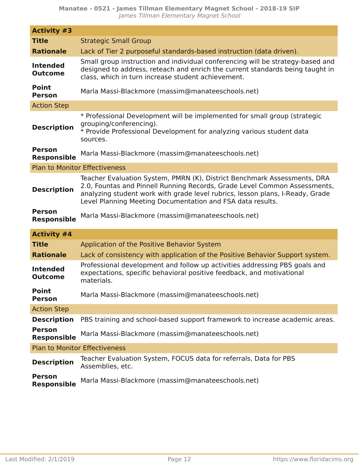| <b>Activity #3</b>                  |                                                                                                                                                                                                                                                                                                      |
|-------------------------------------|------------------------------------------------------------------------------------------------------------------------------------------------------------------------------------------------------------------------------------------------------------------------------------------------------|
| <b>Title</b>                        | <b>Strategic Small Group</b>                                                                                                                                                                                                                                                                         |
| <b>Rationale</b>                    | Lack of Tier 2 purposeful standards-based instruction (data driven).                                                                                                                                                                                                                                 |
| <b>Intended</b><br><b>Outcome</b>   | Small group instruction and individual conferencing will be strategy-based and<br>designed to address, reteach and enrich the current standards being taught in<br>class, which in turn increase student achievement.                                                                                |
| <b>Point</b><br><b>Person</b>       | Marla Massi-Blackmore (massim@manateeschools.net)                                                                                                                                                                                                                                                    |
| <b>Action Step</b>                  |                                                                                                                                                                                                                                                                                                      |
| <b>Description</b>                  | * Professional Development will be implemented for small group (strategic<br>grouping/conferencing).<br>* Provide Professional Development for analyzing various student data<br>sources.                                                                                                            |
| <b>Person</b><br><b>Responsible</b> | Marla Massi-Blackmore (massim@manateeschools.net)                                                                                                                                                                                                                                                    |
|                                     | <b>Plan to Monitor Effectiveness</b>                                                                                                                                                                                                                                                                 |
| <b>Description</b>                  | Teacher Evaluation System, PMRN (K), District Benchmark Assessments, DRA<br>2.0, Fountas and Pinnell Running Records, Grade Level Common Assessments,<br>analyzing student work with grade level rubrics, lesson plans, I-Ready, Grade<br>Level Planning Meeting Documentation and FSA data results. |
|                                     |                                                                                                                                                                                                                                                                                                      |
| <b>Person</b><br><b>Responsible</b> | Marla Massi-Blackmore (massim@manateeschools.net)                                                                                                                                                                                                                                                    |
| <b>Activity #4</b>                  |                                                                                                                                                                                                                                                                                                      |
| <b>Title</b>                        | Application of the Positive Behavior System                                                                                                                                                                                                                                                          |
| <b>Rationale</b>                    | Lack of consistency with application of the Positive Behavior Support system.                                                                                                                                                                                                                        |
| <b>Intended</b><br><b>Outcome</b>   | Professional development and follow up activities addressing PBS goals and<br>expectations, specific behavioral positive feedback, and motivational<br>materials.                                                                                                                                    |
| <b>Point</b><br>Person              | Marla Massi-Blackmore (massim@manateeschools.net)                                                                                                                                                                                                                                                    |
| <b>Action Step</b>                  |                                                                                                                                                                                                                                                                                                      |
| <b>Description</b>                  | PBS training and school-based support framework to increase academic areas.                                                                                                                                                                                                                          |
| <b>Person</b><br><b>Responsible</b> | Marla Massi-Blackmore (massim@manateeschools.net)                                                                                                                                                                                                                                                    |
|                                     | <b>Plan to Monitor Effectiveness</b>                                                                                                                                                                                                                                                                 |
| <b>Description</b>                  | Teacher Evaluation System, FOCUS data for referrals, Data for PBS<br>Assemblies, etc.                                                                                                                                                                                                                |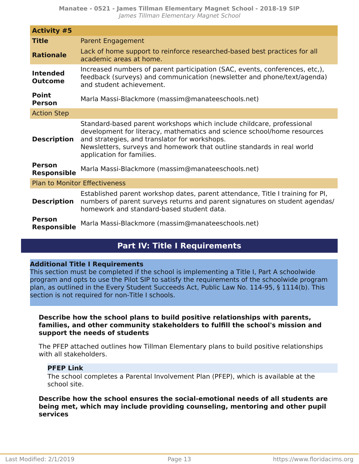| <b>Activity #5</b>                  |                                                                                                                                                                                                                                                                                                          |
|-------------------------------------|----------------------------------------------------------------------------------------------------------------------------------------------------------------------------------------------------------------------------------------------------------------------------------------------------------|
| <b>Title</b>                        | <b>Parent Engagement</b>                                                                                                                                                                                                                                                                                 |
| <b>Rationale</b>                    | Lack of home support to reinforce researched-based best practices for all<br>academic areas at home.                                                                                                                                                                                                     |
| <b>Intended</b><br><b>Outcome</b>   | Increased numbers of parent participation (SAC, events, conferences, etc.),<br>feedback (surveys) and communication (newsletter and phone/text/agenda)<br>and student achievement.                                                                                                                       |
| <b>Point</b><br><b>Person</b>       | Marla Massi-Blackmore (massim@manateeschools.net)                                                                                                                                                                                                                                                        |
| <b>Action Step</b>                  |                                                                                                                                                                                                                                                                                                          |
| <b>Description</b>                  | Standard-based parent workshops which include childcare, professional<br>development for literacy, mathematics and science school/home resources<br>and strategies, and translator for workshops.<br>Newsletters, surveys and homework that outline standards in real world<br>application for families. |
| <b>Person</b><br><b>Responsible</b> | Marla Massi-Blackmore (massim@manateeschools.net)                                                                                                                                                                                                                                                        |
|                                     | <b>Plan to Monitor Effectiveness</b>                                                                                                                                                                                                                                                                     |
| <b>Description</b>                  | Established parent workshop dates, parent attendance, Title I training for PI,<br>numbers of parent surveys returns and parent signatures on student agendas/<br>homework and standard-based student data.                                                                                               |
| <b>Person</b><br><b>Responsible</b> | Marla Massi-Blackmore (massim@manateeschools.net)                                                                                                                                                                                                                                                        |

# **Part IV: Title I Requirements**

## <span id="page-12-0"></span>**Additional Title I Requirements**

This section must be completed if the school is implementing a Title I, Part A schoolwide program and opts to use the Pilot SIP to satisfy the requirements of the schoolwide program plan, as outlined in the Every Student Succeeds Act, Public Law No. 114-95, § 1114(b). This section is not required for non-Title I schools.

## **Describe how the school plans to build positive relationships with parents, families, and other community stakeholders to fulfill the school's mission and support the needs of students**

The PFEP attached outlines how Tillman Elementary plans to build positive relationships with all stakeholders.

## **PFEP Link**

The school completes a Parental Involvement Plan (PFEP), which is available at the school site.

## **Describe how the school ensures the social-emotional needs of all students are being met, which may include providing counseling, mentoring and other pupil services**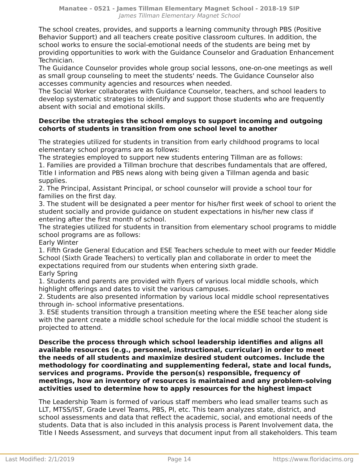The school creates, provides, and supports a learning community through PBS (Positive Behavior Support) and all teachers create positive classroom cultures. In addition, the school works to ensure the social-emotional needs of the students are being met by providing opportunities to work with the Guidance Counselor and Graduation Enhancement Technician.

The Guidance Counselor provides whole group social lessons, one-on-one meetings as well as small group counseling to meet the students' needs. The Guidance Counselor also accesses community agencies and resources when needed.

The Social Worker collaborates with Guidance Counselor, teachers, and school leaders to develop systematic strategies to identify and support those students who are frequently absent with social and emotional skills.

## **Describe the strategies the school employs to support incoming and outgoing cohorts of students in transition from one school level to another**

The strategies utilized for students in transition from early childhood programs to local elementary school programs are as follows:

The strategies employed to support new students entering Tillman are as follows:

1. Families are provided a Tillman brochure that describes fundamentals that are offered, Title I information and PBS news along with being given a Tillman agenda and basic supplies.

2. The Principal, Assistant Principal, or school counselor will provide a school tour for families on the first day.

3. The student will be designated a peer mentor for his/her first week of school to orient the student socially and provide guidance on student expectations in his/her new class if entering after the first month of school.

The strategies utilized for students in transition from elementary school programs to middle school programs are as follows:

Early Winter

1. Fifth Grade General Education and ESE Teachers schedule to meet with our feeder Middle School (Sixth Grade Teachers) to vertically plan and collaborate in order to meet the expectations required from our students when entering sixth grade.

Early Spring

1. Students and parents are provided with flyers of various local middle schools, which highlight offerings and dates to visit the various campuses.

2. Students are also presented information by various local middle school representatives through in- school informative presentations.

3. ESE students transition through a transition meeting where the ESE teacher along side with the parent create a middle school schedule for the local middle school the student is projected to attend.

**Describe the process through which school leadership identifies and aligns all available resources (e.g., personnel, instructional, curricular) in order to meet the needs of all students and maximize desired student outcomes. Include the methodology for coordinating and supplementing federal, state and local funds, services and programs. Provide the person(s) responsible, frequency of meetings, how an inventory of resources is maintained and any problem-solving activities used to determine how to apply resources for the highest impact**

The Leadership Team is formed of various staff members who lead smaller teams such as LLT, MTSS/IST, Grade Level Teams, PBS, PI, etc. This team analyzes state, district, and school assessments and data that reflect the academic, social, and emotional needs of the students. Data that is also included in this analysis process is Parent Involvement data, the Title I Needs Assessment, and surveys that document input from all stakeholders. This team